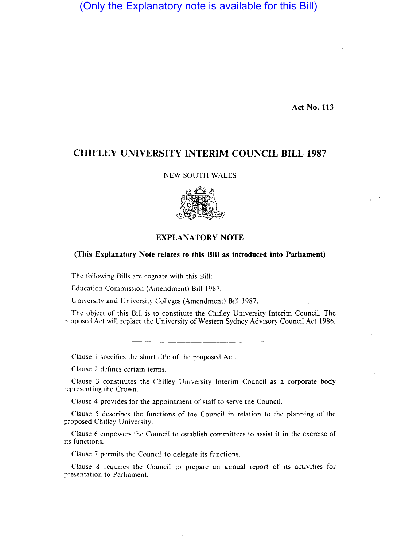# (Only the Explanatory note is available for this Bill)

Act No. 113

## CHIFLEY UNIVERSITY INTERIM COUNCIL BILL 1987

#### NEW SOUTH WALES



#### EXPLANATORY NOTE

#### (This Explanatory Note relates to this Bill as introduced into Parliament)

The following Bills are cognate with this Bill:

Education Commission (Amendment) Bill 1987;

University and University Colleges (Amendment) Bill 1987.

The object of this Bill is to constitute the Chifley University Interim Council. The proposed Act will replace the University of Western Sydney Advisory Council Act 1986.

Clause 1 specifies the short title of the proposed Act.

Clause 2 defines certain terms.

Clause 3 constitutes the Chifley University Interim Council as a corporate body representing the Crown.

Clause 4 provides for the appointment of staff to serve the Council.

Clause 5 describes the functions of the Council in relation to the planning of the proposed Chifley University.

Clause 6 empowers the Council to establish committees to assist it in the exercise of its functions.

Clause 7 permits the Council to delegate its functions.

Clause 8 requires the Council to prepare an annual report of its activities for presentation to Parliament.